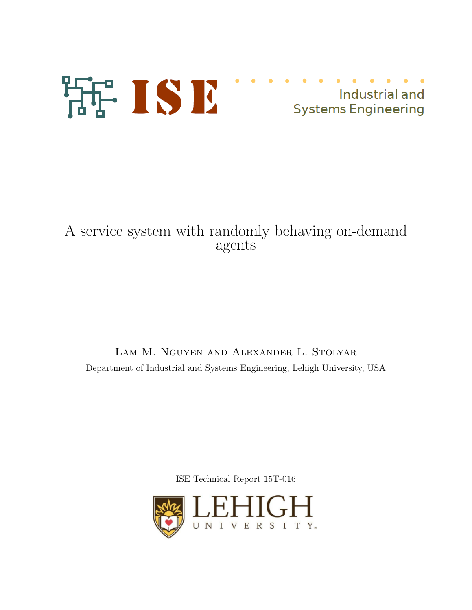

## A service system with randomly behaving on-demand agents

Lam M. Nguyen and Alexander L. Stolyar Department of Industrial and Systems Engineering, Lehigh University, USA

ISE Technical Report 15T-016

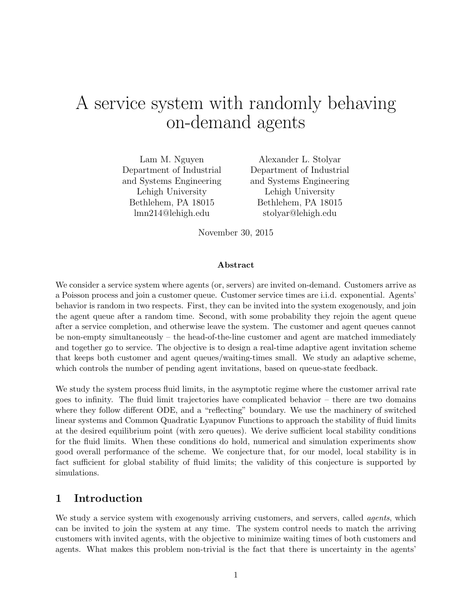# A service system with randomly behaving on-demand agents

Lam M. Nguyen Department of Industrial and Systems Engineering Lehigh University Bethlehem, PA 18015 lmn214@lehigh.edu

Alexander L. Stolyar Department of Industrial and Systems Engineering Lehigh University Bethlehem, PA 18015 stolyar@lehigh.edu

November 30, 2015

#### Abstract

We consider a service system where agents (or, servers) are invited on-demand. Customers arrive as a Poisson process and join a customer queue. Customer service times are i.i.d. exponential. Agents' behavior is random in two respects. First, they can be invited into the system exogenously, and join the agent queue after a random time. Second, with some probability they rejoin the agent queue after a service completion, and otherwise leave the system. The customer and agent queues cannot be non-empty simultaneously – the head-of-the-line customer and agent are matched immediately and together go to service. The objective is to design a real-time adaptive agent invitation scheme that keeps both customer and agent queues/waiting-times small. We study an adaptive scheme, which controls the number of pending agent invitations, based on queue-state feedback.

We study the system process fluid limits, in the asymptotic regime where the customer arrival rate goes to infinity. The fluid limit trajectories have complicated behavior – there are two domains where they follow different ODE, and a "reflecting" boundary. We use the machinery of switched linear systems and Common Quadratic Lyapunov Functions to approach the stability of fluid limits at the desired equilibrium point (with zero queues). We derive sufficient local stability conditions for the fluid limits. When these conditions do hold, numerical and simulation experiments show good overall performance of the scheme. We conjecture that, for our model, local stability is in fact sufficient for global stability of fluid limits; the validity of this conjecture is supported by simulations.

## 1 Introduction

We study a service system with exogenously arriving customers, and servers, called *agents*, which can be invited to join the system at any time. The system control needs to match the arriving customers with invited agents, with the objective to minimize waiting times of both customers and agents. What makes this problem non-trivial is the fact that there is uncertainty in the agents'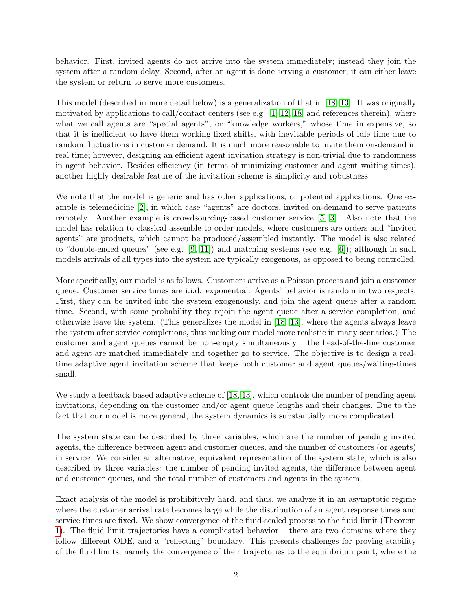behavior. First, invited agents do not arrive into the system immediately; instead they join the system after a random delay. Second, after an agent is done serving a customer, it can either leave the system or return to serve more customers.

This model (described in more detail below) is a generalization of that in [\[18,](#page-18-0) [13\]](#page-17-0). It was originally motivated by applications to call/contact centers (see e.g.  $[1, 12, 18]$  $[1, 12, 18]$  $[1, 12, 18]$  and references therein), where what we call agents are "special agents", or "knowledge workers," whose time in expensive, so that it is inefficient to have them working fixed shifts, with inevitable periods of idle time due to random fluctuations in customer demand. It is much more reasonable to invite them on-demand in real time; however, designing an efficient agent invitation strategy is non-trivial due to randomness in agent behavior. Besides efficiency (in terms of minimizing customer and agent waiting times), another highly desirable feature of the invitation scheme is simplicity and robustness.

We note that the model is generic and has other applications, or potential applications. One example is telemedicine [\[2\]](#page-17-3), in which case "agents" are doctors, invited on-demand to serve patients remotely. Another example is crowdsourcing-based customer service [\[5,](#page-17-4) [3\]](#page-17-5). Also note that the model has relation to classical assemble-to-order models, where customers are orders and "invited agents" are products, which cannot be produced/assembled instantly. The model is also related to "double-ended queues" (see e.g.  $[9, 11]$  $[9, 11]$ ) and matching systems (see e.g.  $[6]$ ); although in such models arrivals of all types into the system are typically exogenous, as opposed to being controlled.

More specifically, our model is as follows. Customers arrive as a Poisson process and join a customer queue. Customer service times are i.i.d. exponential. Agents' behavior is random in two respects. First, they can be invited into the system exogenously, and join the agent queue after a random time. Second, with some probability they rejoin the agent queue after a service completion, and otherwise leave the system. (This generalizes the model in [\[18,](#page-18-0) [13\]](#page-17-0), where the agents always leave the system after service completions, thus making our model more realistic in many scenarios.) The customer and agent queues cannot be non-empty simultaneously – the head-of-the-line customer and agent are matched immediately and together go to service. The objective is to design a realtime adaptive agent invitation scheme that keeps both customer and agent queues/waiting-times small.

We study a feedback-based adaptive scheme of [\[18,](#page-18-0) [13\]](#page-17-0), which controls the number of pending agent invitations, depending on the customer and/or agent queue lengths and their changes. Due to the fact that our model is more general, the system dynamics is substantially more complicated.

The system state can be described by three variables, which are the number of pending invited agents, the difference between agent and customer queues, and the number of customers (or agents) in service. We consider an alternative, equivalent representation of the system state, which is also described by three variables: the number of pending invited agents, the difference between agent and customer queues, and the total number of customers and agents in the system.

Exact analysis of the model is prohibitively hard, and thus, we analyze it in an asymptotic regime where the customer arrival rate becomes large while the distribution of an agent response times and service times are fixed. We show convergence of the fluid-scaled process to the fluid limit (Theorem [1\)](#page-7-0). The fluid limit trajectories have a complicated behavior – there are two domains where they follow different ODE, and a "reflecting" boundary. This presents challenges for proving stability of the fluid limits, namely the convergence of their trajectories to the equilibrium point, where the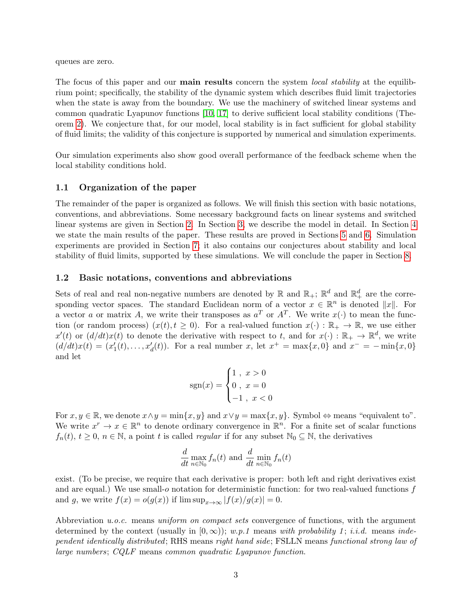queues are zero.

The focus of this paper and our **main results** concern the system *local stability* at the equilibrium point; specifically, the stability of the dynamic system which describes fluid limit trajectories when the state is away from the boundary. We use the machinery of switched linear systems and common quadratic Lyapunov functions [\[10,](#page-17-9) [17\]](#page-18-1) to derive sufficient local stability conditions (Theorem [2\)](#page-8-0). We conjecture that, for our model, local stability is in fact sufficient for global stability of fluid limits; the validity of this conjecture is supported by numerical and simulation experiments.

Our simulation experiments also show good overall performance of the feedback scheme when the local stability conditions hold.

#### 1.1 Organization of the paper

The remainder of the paper is organized as follows. We will finish this section with basic notations, conventions, and abbreviations. Some necessary background facts on linear systems and switched linear systems are given in Section [2.](#page-4-0) In Section [3,](#page-5-0) we describe the model in detail. In Section [4](#page-7-1) we state the main results of the paper. These results are proved in Sections [5](#page-8-1) and [6.](#page-11-0) Simulation experiments are provided in Section [7;](#page-14-0) it also contains our conjectures about stability and local stability of fluid limits, supported by these simulations. We will conclude the paper in Section [8.](#page-16-0)

#### 1.2 Basic notations, conventions and abbreviations

Sets of real and real non-negative numbers are denoted by  $\mathbb R$  and  $\mathbb R_+$ ;  $\mathbb R^d$  and  $\mathbb R_+^d$  are the corresponding vector spaces. The standard Euclidean norm of a vector  $x \in \mathbb{R}^n$  is denoted  $||x||$ . For a vector a or matrix A, we write their transposes as  $a^T$  or  $A^T$ . We write  $x(\cdot)$  to mean the function (or random process)  $(x(t), t \ge 0)$ . For a real-valued function  $x(\cdot): \mathbb{R}_+ \to \mathbb{R}$ , we use either  $x'(t)$  or  $(d/dt)x(t)$  to denote the derivative with respect to t, and for  $x(\cdot): \mathbb{R}_+ \to \mathbb{R}^d$ , we write  $(d/dt)x(t) = (x'_1(t),...,x'_d(t)).$  For a real number x, let  $x^+ = \max\{x,0\}$  and  $x^- = -\min\{x,0\}$ and let

$$
sgn(x) = \begin{cases} 1, & x > 0 \\ 0, & x = 0 \\ -1, & x < 0 \end{cases}
$$

For  $x, y \in \mathbb{R}$ , we denote  $x \wedge y = \min\{x, y\}$  and  $x \vee y = \max\{x, y\}$ . Symbol  $\Leftrightarrow$  means "equivalent to". We write  $x^r \to x \in \mathbb{R}^n$  to denote ordinary convergence in  $\mathbb{R}^n$ . For a finite set of scalar functions  $f_n(t)$ ,  $t \geq 0$ ,  $n \in \mathbb{N}$ , a point t is called *regular* if for any subset  $\mathbb{N}_0 \subseteq \mathbb{N}$ , the derivatives

$$
\frac{d}{dt} \max_{n \in \mathbb{N}_0} f_n(t) \text{ and } \frac{d}{dt} \min_{n \in \mathbb{N}_0} f_n(t)
$$

exist. (To be precise, we require that each derivative is proper: both left and right derivatives exist and are equal.) We use small-o notation for deterministic function: for two real-valued functions  $f$ and g, we write  $f(x) = o(g(x))$  if  $\limsup_{x\to\infty} |f(x)/g(x)| = 0$ .

Abbreviation u.o.c. means uniform on compact sets convergence of functions, with the argument determined by the context (usually in  $[0, \infty)$ ); w.p.1 means with probability 1; i.i.d. means independent identically distributed; RHS means right hand side; FSLLN means functional strong law of large numbers; CQLF means common quadratic Lyapunov function.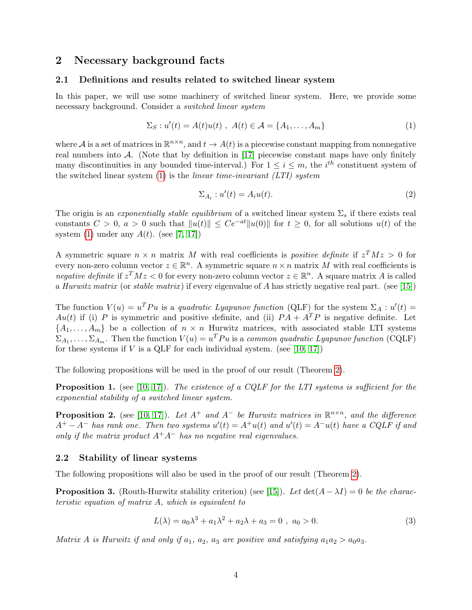## <span id="page-4-0"></span>2 Necessary background facts

## 2.1 Definitions and results related to switched linear system

In this paper, we will use some machinery of switched linear system. Here, we provide some necessary background. Consider a switched linear system

$$
\Sigma_S: u'(t) = A(t)u(t) , A(t) \in \mathcal{A} = \{A_1, \dots, A_m\}
$$
 (1)

where A is a set of matrices in  $\mathbb{R}^{n \times n}$ , and  $t \to A(t)$  is a piecewise constant mapping from nonnegative real numbers into  $A$ . (Note that by definition in [\[17\]](#page-18-1) piecewise constant maps have only finitely many discontinuities in any bounded time-interval.) For  $1 \leq i \leq m$ , the *i*<sup>th</sup> constituent system of the switched linear system  $(1)$  is the *linear time-invariant*  $(LTI)$  *system* 

<span id="page-4-1"></span>
$$
\Sigma_{A_i} : u'(t) = A_i u(t). \tag{2}
$$

The origin is an *exponentially stable equilibrium* of a switched linear system  $\Sigma_s$  if there exists real constants  $C > 0$ ,  $a > 0$  such that  $||u(t)|| \le Ce^{-at}||u(0)||$  for  $t \ge 0$ , for all solutions  $u(t)$  of the system [\(1\)](#page-4-1) under any  $A(t)$ . (see [\[7,](#page-17-10) [17\]](#page-18-1))

A symmetric square  $n \times n$  matrix M with real coefficients is *positive definite* if  $z^T M z > 0$  for every non-zero column vector  $z \in \mathbb{R}^n$ . A symmetric square  $n \times n$  matrix M with real coefficients is negative definite if  $z^T M z < 0$  for every non-zero column vector  $z \in \mathbb{R}^n$ . A square matrix A is called a Hurwitz matrix (or stable matrix ) if every eigenvalue of A has strictly negative real part. (see [\[15\]](#page-18-2))

The function  $V(u) = u^T P u$  is a quadratic Lyapunov function (QLF) for the system  $\Sigma_A : u'(t) =$ Au(t) if (i) P is symmetric and positive definite, and (ii)  $PA + A^T P$  is negative definite. Let  $\{A_1, \ldots, A_m\}$  be a collection of  $n \times n$  Hurwitz matrices, with associated stable LTI systems  $\Sigma_{A_1}, \ldots, \Sigma_{A_m}$ . Then the function  $V(u) = u^T P u$  is a common quadratic Lyapunov function (CQLF) for these systems if  $V$  is a QLF for each individual system. (see [\[10,](#page-17-9) [17\]](#page-18-1))

<span id="page-4-5"></span>The following propositions will be used in the proof of our result (Theorem [2\)](#page-8-0).

**Proposition 1.** (see  $[10, 17]$  $[10, 17]$ ). The existence of a CQLF for the LTI systems is sufficient for the exponential stability of a switched linear system.

<span id="page-4-4"></span>**Proposition 2.** (see [\[10,](#page-17-9) [17\]](#page-18-1)). Let  $A^+$  and  $A^-$  be Hurwitz matrices in  $\mathbb{R}^{n \times n}$ , and the difference  $A^+ - A^-$  has rank one. Then two systems  $u'(t) = A^+u(t)$  and  $u'(t) = A^-u(t)$  have a CQLF if and only if the matrix product  $A^+A^-$  has no negative real eigenvalues.

#### 2.2 Stability of linear systems

<span id="page-4-2"></span>The following propositions will also be used in the proof of our result (Theorem [2\)](#page-8-0).

**Proposition 3.** (Routh-Hurwitz stability criterion) (see [\[15\]](#page-18-2)). Let  $\det(A - \lambda I) = 0$  be the characteristic equation of matrix A, which is equivalent to

$$
L(\lambda) = a_0 \lambda^3 + a_1 \lambda^2 + a_2 \lambda + a_3 = 0 , \ a_0 > 0.
$$
 (3)

<span id="page-4-3"></span>Matrix A is Hurwitz if and only if  $a_1$ ,  $a_2$ ,  $a_3$  are positive and satisfying  $a_1a_2 > a_0a_3$ .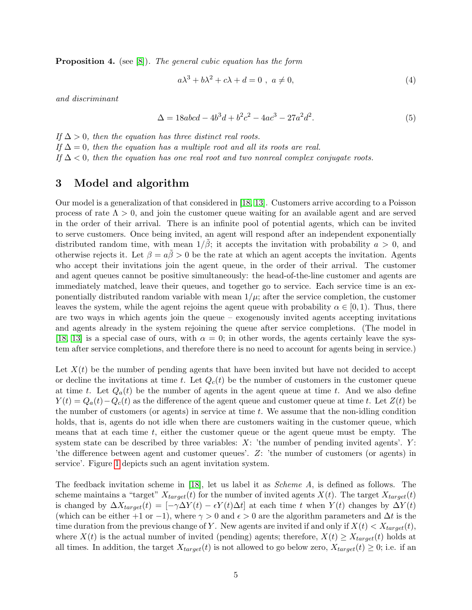**Proposition 4.** (see [\[8\]](#page-17-11)). The general cubic equation has the form

<span id="page-5-2"></span><span id="page-5-1"></span>
$$
a\lambda^3 + b\lambda^2 + c\lambda + d = 0 \ , \ a \neq 0,
$$
 (4)

and discriminant

$$
\Delta = 18abcd - 4b^3d + b^2c^2 - 4ac^3 - 27a^2d^2.
$$
\n(5)

If  $\Delta > 0$ , then the equation has three distinct real roots. If  $\Delta = 0$ , then the equation has a multiple root and all its roots are real. If  $\Delta$  < 0, then the equation has one real root and two nonreal complex conjugate roots.

## <span id="page-5-0"></span>3 Model and algorithm

Our model is a generalization of that considered in [\[18,](#page-18-0) [13\]](#page-17-0). Customers arrive according to a Poisson process of rate  $\Lambda > 0$ , and join the customer queue waiting for an available agent and are served in the order of their arrival. There is an infinite pool of potential agents, which can be invited to serve customers. Once being invited, an agent will respond after an independent exponentially distributed random time, with mean  $1/\beta$ ; it accepts the invitation with probability  $a > 0$ , and otherwise rejects it. Let  $\beta = a\hat{\beta} > 0$  be the rate at which an agent accepts the invitation. Agents who accept their invitations join the agent queue, in the order of their arrival. The customer and agent queues cannot be positive simultaneously: the head-of-the-line customer and agents are immediately matched, leave their queues, and together go to service. Each service time is an exponentially distributed random variable with mean  $1/\mu$ ; after the service completion, the customer leaves the system, while the agent rejoins the agent queue with probability  $\alpha \in [0,1)$ . Thus, there are two ways in which agents join the queue – exogenously invited agents accepting invitations and agents already in the system rejoining the queue after service completions. (The model in [\[18,](#page-18-0) [13\]](#page-17-0) is a special case of ours, with  $\alpha = 0$ ; in other words, the agents certainly leave the system after service completions, and therefore there is no need to account for agents being in service.)

Let  $X(t)$  be the number of pending agents that have been invited but have not decided to accept or decline the invitations at time t. Let  $Q_c(t)$  be the number of customers in the customer queue at time t. Let  $Q_a(t)$  be the number of agents in the agent queue at time t. And we also define  $Y(t) = Q_a(t) - Q_c(t)$  as the difference of the agent queue and customer queue at time t. Let  $Z(t)$  be the number of customers (or agents) in service at time  $t$ . We assume that the non-idling condition holds, that is, agents do not idle when there are customers waiting in the customer queue, which means that at each time  $t$ , either the customer queue or the agent queue must be empty. The system state can be described by three variables:  $X:$  'the number of pending invited agents'.  $Y:$ 'the difference between agent and customer queues'. Z: 'the number of customers (or agents) in service'. Figure [1](#page-6-0) depicts such an agent invitation system.

The feedback invitation scheme in [\[18\]](#page-18-0), let us label it as Scheme A, is defined as follows. The scheme maintains a "target"  $X_{target}(t)$  for the number of invited agents  $X(t)$ . The target  $X_{target}(t)$ is changed by  $\Delta X_{target}(t) = [-\gamma \Delta Y(t) - \epsilon Y(t) \Delta t]$  at each time t when  $Y(t)$  changes by  $\Delta Y(t)$ (which can be either +1 or −1), where  $\gamma > 0$  and  $\epsilon > 0$  are the algorithm parameters and  $\Delta t$  is the time duration from the previous change of Y. New agents are invited if and only if  $X(t) < X_{target}(t)$ , where  $X(t)$  is the actual number of invited (pending) agents; therefore,  $X(t) \geq X_{target}(t)$  holds at all times. In addition, the target  $X_{target}(t)$  is not allowed to go below zero,  $X_{target}(t) \geq 0$ ; i.e. if an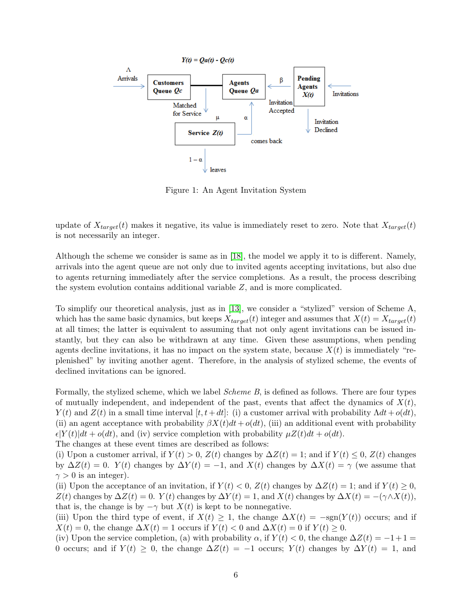

<span id="page-6-0"></span>Figure 1: An Agent Invitation System

update of  $X_{target}(t)$  makes it negative, its value is immediately reset to zero. Note that  $X_{target}(t)$ is not necessarily an integer.

Although the scheme we consider is same as in [\[18\]](#page-18-0), the model we apply it to is different. Namely, arrivals into the agent queue are not only due to invited agents accepting invitations, but also due to agents returning immediately after the service completions. As a result, the process describing the system evolution contains additional variable Z, and is more complicated.

To simplify our theoretical analysis, just as in [\[13\]](#page-17-0), we consider a "stylized" version of Scheme A, which has the same basic dynamics, but keeps  $X_{target}(t)$  integer and assumes that  $X(t) = X_{target}(t)$ at all times; the latter is equivalent to assuming that not only agent invitations can be issued instantly, but they can also be withdrawn at any time. Given these assumptions, when pending agents decline invitations, it has no impact on the system state, because  $X(t)$  is immediately "replenished" by inviting another agent. Therefore, in the analysis of stylized scheme, the events of declined invitations can be ignored.

Formally, the stylized scheme, which we label Scheme B, is defined as follows. There are four types of mutually independent, and independent of the past, events that affect the dynamics of  $X(t)$ ,  $Y(t)$  and  $Z(t)$  in a small time interval  $[t, t+dt]$ : (i) a customer arrival with probability  $\Lambda dt + o(dt)$ , (ii) an agent acceptance with probability  $\beta X(t)dt + o(dt)$ , (iii) an additional event with probability  $\epsilon|Y(t)|dt + o(dt)$ , and (iv) service completion with probability  $\mu Z(t)dt + o(dt)$ .

The changes at these event times are described as follows:

(i) Upon a customer arrival, if  $Y(t) > 0$ ,  $Z(t)$  changes by  $\Delta Z(t) = 1$ ; and if  $Y(t) \leq 0$ ,  $Z(t)$  changes by  $\Delta Z(t) = 0$ .  $Y(t)$  changes by  $\Delta Y(t) = -1$ , and  $X(t)$  changes by  $\Delta X(t) = \gamma$  (we assume that  $\gamma > 0$  is an integer).

(ii) Upon the acceptance of an invitation, if  $Y(t) < 0$ ,  $Z(t)$  changes by  $\Delta Z(t) = 1$ ; and if  $Y(t) \geq 0$ ,  $Z(t)$  changes by  $\Delta Z(t) = 0$ .  $Y(t)$  changes by  $\Delta Y(t) = 1$ , and  $X(t)$  changes by  $\Delta X(t) = -(\gamma \wedge X(t))$ , that is, the change is by  $-\gamma$  but  $X(t)$  is kept to be nonnegative.

(iii) Upon the third type of event, if  $X(t) \geq 1$ , the change  $\Delta X(t) = -sgn(Y(t))$  occurs; and if  $X(t) = 0$ , the change  $\Delta X(t) = 1$  occurs if  $Y(t) < 0$  and  $\Delta X(t) = 0$  if  $Y(t) \geq 0$ .

(iv) Upon the service completion, (a) with probability  $\alpha$ , if  $Y(t) < 0$ , the change  $\Delta Z(t) = -1+1 =$ 0 occurs; and if  $Y(t) \geq 0$ , the change  $\Delta Z(t) = -1$  occurs;  $Y(t)$  changes by  $\Delta Y(t) = 1$ , and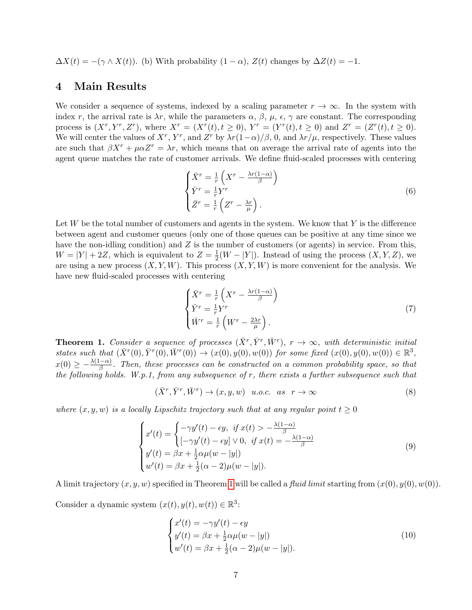$\Delta X(t) = -(\gamma \wedge X(t))$ . (b) With probability  $(1 - \alpha)$ ,  $Z(t)$  changes by  $\Delta Z(t) = -1$ .

## <span id="page-7-1"></span>4 Main Results

We consider a sequence of systems, indexed by a scaling parameter  $r \to \infty$ . In the system with index r, the arrival rate is  $\lambda r$ , while the parameters  $\alpha$ ,  $\beta$ ,  $\mu$ ,  $\epsilon$ ,  $\gamma$  are constant. The corresponding process is  $(X^r, Y^r, Z^r)$ , where  $X^r = (X^r(t), t \ge 0)$ ,  $Y^r = (Y^r(t), t \ge 0)$  and  $Z^r = (Z^r(t), t \ge 0)$ . We will center the values of  $X^r$ ,  $Y^r$ , and  $Z^r$  by  $\lambda r(1-\alpha)/\beta$ , 0, and  $\lambda r/\mu$ , respectively. These values are such that  $\beta X^r + \mu \alpha Z^r = \lambda r$ , which means that on average the arrival rate of agents into the agent queue matches the rate of customer arrivals. We define fluid-scaled processes with centering

$$
\begin{cases}\n\bar{X}^r = \frac{1}{r} \left( X^r - \frac{\lambda r (1 - \alpha)}{\beta} \right) \\
\bar{Y}^r = \frac{1}{r} Y^r \\
\bar{Z}^r = \frac{1}{r} \left( Z^r - \frac{\lambda r}{\mu} \right).\n\end{cases} \tag{6}
$$

Let  $W$  be the total number of customers and agents in the system. We know that  $Y$  is the difference between agent and customer queues (only one of those queues can be positive at any time since we have the non-idling condition) and  $Z$  is the number of customers (or agents) in service. From this,  $W = |Y| + 2Z$ , which is equivalent to  $Z = \frac{1}{2}$  $\frac{1}{2}(W - |Y|)$ . Instead of using the process  $(X, Y, Z)$ , we are using a new process  $(X, Y, W)$ . This process  $(X, Y, W)$  is more convenient for the analysis. We have new fluid-scaled processes with centering

<span id="page-7-3"></span>
$$
\begin{cases}\n\bar{X}^r = \frac{1}{r} \left( X^r - \frac{\lambda r (1 - \alpha)}{\beta} \right) \\
\bar{Y}^r = \frac{1}{r} Y^r \\
\bar{W}^r = \frac{1}{r} \left( W^r - \frac{2\lambda r}{\mu} \right).\n\end{cases} \tag{7}
$$

<span id="page-7-0"></span>**Theorem 1.** Consider a sequence of processes  $(\bar{X}^r, \bar{Y}^r, \bar{W}^r)$ ,  $r \to \infty$ , with deterministic initial states such that  $(\bar{X}^r(0), \bar{Y}^r(0), \bar{W}^r(0)) \to (x(0), y(0), w(0))$  for some fixed  $(x(0), y(0), w(0)) \in \mathbb{R}^3$ ,  $x(0) \geq -\frac{\lambda(1-\alpha)}{\beta}$ . Then, these processes can be constructed on a common probability space, so that the following holds. W.p.1, from any subsequence of  $r$ , there exists a further subsequence such that

$$
(\bar{X}^r, \bar{Y}^r, \bar{W}^r) \to (x, y, w) \quad u.o.c. \quad as \quad r \to \infty \tag{8}
$$

where  $(x, y, w)$  is a locally Lipschitz trajectory such that at any regular point  $t \geq 0$ 

$$
\begin{cases}\nx'(t) = \begin{cases}\n-\gamma y'(t) - \epsilon y, & \text{if } x(t) > -\frac{\lambda(1-\alpha)}{\beta} \\
[-\gamma y'(t) - \epsilon y] \vee 0, & \text{if } x(t) = -\frac{\lambda(1-\alpha)}{\beta}\n\end{cases} \\
y'(t) = \beta x + \frac{1}{2}\alpha\mu(w - |y|) \\
w'(t) = \beta x + \frac{1}{2}(\alpha - 2)\mu(w - |y|).\n\end{cases}
$$
\n(9)

A limit trajectory  $(x, y, w)$  specified in Theorem [1](#page-7-0) will be called a *fluid limit* starting from  $(x(0), y(0), w(0))$ .

Consider a dynamic system  $(x(t), y(t), w(t)) \in \mathbb{R}^3$ :

<span id="page-7-4"></span><span id="page-7-2"></span>
$$
\begin{cases}\nx'(t) = -\gamma y'(t) - \epsilon y \\
y'(t) = \beta x + \frac{1}{2} \alpha \mu (w - |y|) \\
w'(t) = \beta x + \frac{1}{2} (\alpha - 2) \mu (w - |y|).\n\end{cases}
$$
\n(10)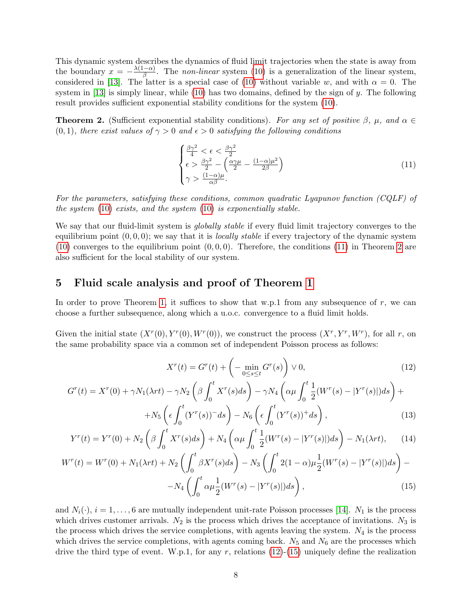This dynamic system describes the dynamics of fluid limit trajectories when the state is away from the boundary  $x = -\frac{\lambda(1-\alpha)}{\beta}$  $\frac{(-\alpha)}{\beta}$ . The *non-linear* system [\(10\)](#page-7-2) is a generalization of the linear system, considered in [\[13\]](#page-17-0). The latter is a special case of [\(10\)](#page-7-2) without variable w, and with  $\alpha = 0$ . The system in  $[13]$  is simply linear, while  $(10)$  has two domains, defined by the sign of y. The following result provides sufficient exponential stability conditions for the system [\(10\)](#page-7-2).

<span id="page-8-0"></span>**Theorem 2.** (Sufficient exponential stability conditions). For any set of positive  $\beta$ ,  $\mu$ , and  $\alpha \in$  $(0, 1)$ , there exist values of  $\gamma > 0$  and  $\epsilon > 0$  satisfying the following conditions

<span id="page-8-2"></span>
$$
\begin{cases} \frac{\beta\gamma^2}{4} < \epsilon < \frac{\beta\gamma^2}{2} \\ \epsilon > \frac{\beta\gamma^2}{2} - \left(\frac{\alpha\gamma\mu}{2} - \frac{(1-\alpha)\mu^2}{2\beta}\right) \\ \gamma > \frac{(1-\alpha)\mu}{\alpha\beta} .\end{cases} \tag{11}
$$

For the parameters, satisfying these conditions, common quadratic Lyapunov function (CQLF) of the system [\(10\)](#page-7-2) exists, and the system [\(10\)](#page-7-2) is exponentially stable.

We say that our fluid-limit system is *globally stable* if every fluid limit trajectory converges to the equilibrium point  $(0, 0, 0)$ ; we say that it is *locally stable* if every trajectory of the dynamic system [\(10\)](#page-7-2) converges to the equilibrium point  $(0, 0, 0)$ . Therefore, the conditions [\(11\)](#page-8-2) in Theorem [2](#page-8-0) are also sufficient for the local stability of our system.

## <span id="page-8-1"></span>5 Fluid scale analysis and proof of Theorem [1](#page-7-0)

In order to prove Theorem [1,](#page-7-0) it suffices to show that w.p.1 from any subsequence of r, we can choose a further subsequence, along which a u.o.c. convergence to a fluid limit holds.

Given the initial state  $(X^r(0), Y^r(0), W^r(0))$ , we construct the process  $(X^r, Y^r, W^r)$ , for all r, on the same probability space via a common set of independent Poisson process as follows:

<span id="page-8-4"></span><span id="page-8-3"></span>
$$
X^{r}(t) = G^{r}(t) + \left(-\min_{0 \le s \le t} G^{r}(s)\right) \vee 0,
$$
\n(12)

$$
G^{r}(t) = X^{r}(0) + \gamma N_{1}(\lambda rt) - \gamma N_{2} \left(\beta \int_{0}^{t} X^{r}(s)ds\right) - \gamma N_{4} \left(\alpha \mu \int_{0}^{t} \frac{1}{2} (W^{r}(s) - |Y^{r}(s)|)ds\right) + N_{5} \left(\epsilon \int_{0}^{t} (Y^{r}(s))^{-}ds\right) - N_{6} \left(\epsilon \int_{0}^{t} (Y^{r}(s))^{+}ds\right),
$$
\n(13)

$$
Y^{r}(t) = Y^{r}(0) + N_{2} \left( \beta \int_{0}^{t} X^{r}(s) ds \right) + N_{4} \left( \alpha \mu \int_{0}^{t} \frac{1}{2} (W^{r}(s) - |Y^{r}(s)|) ds \right) - N_{1}(\lambda r t), \qquad (14)
$$

$$
W^{r}(t) = W^{r}(0) + N_{1}(\lambda rt) + N_{2} \left( \int_{0}^{t} \beta X^{r}(s) ds \right) - N_{3} \left( \int_{0}^{t} 2(1 - \alpha) \mu \frac{1}{2} (W^{r}(s) - |Y^{r}(s)|) ds \right) - N_{4} \left( \int_{0}^{t} \alpha \mu \frac{1}{2} (W^{r}(s) - |Y^{r}(s)|) ds \right),
$$
\n(15)

and  $N_i(\cdot)$ ,  $i = 1, \ldots, 6$  are mutually independent unit-rate Poisson processes [\[14\]](#page-18-3).  $N_1$  is the process which drives customer arrivals.  $N_2$  is the process which drives the acceptance of invitations.  $N_3$  is the process which drives the service completions, with agents leaving the system.  $N_4$  is the process which drives the service completions, with agents coming back.  $N_5$  and  $N_6$  are the processes which drive the third type of event. W.p.1, for any r, relations  $(12)-(15)$  $(12)-(15)$  $(12)-(15)$  uniquely define the realization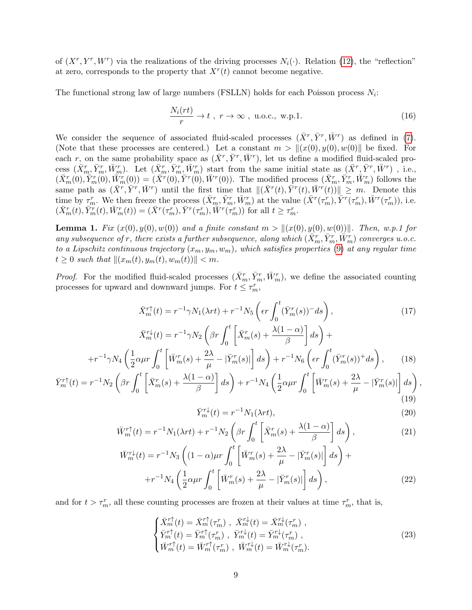of  $(X^r, Y^r, W^r)$  via the realizations of the driving processes  $N_i(\cdot)$ . Relation [\(12\)](#page-8-3), the "reflection" at zero, corresponds to the property that  $X<sup>r</sup>(t)$  cannot become negative.

The functional strong law of large numbers (FSLLN) holds for each Poisson process  $N_i$ :

<span id="page-9-0"></span>
$$
\frac{N_i(rt)}{r} \to t \ , \ r \to \infty \ , \ u.o.c., \ w.p.1.
$$
 (16)

We consider the sequence of associated fluid-scaled processes  $(\bar{X}^r, \bar{Y}^r, \bar{W}^r)$  as defined in [\(7\)](#page-7-3). (Note that these processes are centered.) Let a constant  $m > ||(x(0), y(0), w(0)||$  be fixed. For each r, on the same probability space as  $(\bar{X}^r, \bar{Y}^r, \bar{W}^r)$ , let us define a modified fluid-scaled process  $(\bar{X}_m^r, \bar{Y}_m^r, \bar{W}_m^r)$ . Let  $(\bar{X}_m^r, \bar{Y}_m^r, \bar{W}_m^r)$  start from the same initial state as  $(\bar{X}^r, \bar{Y}^r, \bar{W}^r)$ , i.e.,  $(\bar{X}_m^r(0), \bar{Y}_m^r(0), \bar{W}_m^r(0)) = (\bar{X}^r(0), \bar{Y}^r(0), \bar{W}^r(0)).$  The modified process  $(\bar{X}_m^r, \bar{Y}_m^r, \bar{W}_m^r)$  follows the same path as  $(\bar{X}^r, \bar{Y}^r, \bar{W}^r)$  until the first time that  $\|(\bar{X}^r(t), \bar{Y}^r(t), \bar{W}^r(t))\| \geq m$ . Denote this time by  $\tau_m^r$ . We then freeze the process  $(\bar{X}_m^r, \bar{Y}_m^r, \bar{W}_m^r)$  at the value  $(\bar{X}^r(\tau_m^r), \bar{Y}^r(\tau_m^r), \bar{W}^r(\tau_m^r))$ , i.e.  $(\bar{X}_m^r(t), \bar{Y}_m^r(t), \bar{W}_m^r(t)) = (\bar{X}^r(\tau_m^r), \bar{Y}^r(\tau_m^r), \bar{W}^r(\tau_m^r))$  for all  $t \geq \tau_m^r$ .

**Lemma 1.** Fix  $(x(0), y(0), w(0))$  and a finite constant  $m > ||(x(0), y(0), w(0))||$ . Then, w.p.1 for any subsequence of r, there exists a further subsequence, along which  $(\bar{X}_m^r, \bar{Y}_m^r, \bar{W}_m^r)$  converges u.o.c. to a Lipschitz continuous trajectory  $(x_m, y_m, w_m)$ , which satisfies properties [\(9\)](#page-7-4) at any regular time  $t \geq 0$  such that  $\|(x_m(t), y_m(t), w_m(t))\| < m$ .

*Proof.* For the modified fluid-scaled processes  $(\bar{X}_m^r, \bar{Y}_m^r, \bar{W}_m^r)$ , we define the associated counting processes for upward and downward jumps. For  $t \leq \tau_m^r$ ,

$$
\bar{X}_{m}^{r\dagger}(t) = r^{-1}\gamma N_{1}(\lambda rt) + r^{-1}N_{5} \left(\epsilon r \int_{0}^{t} (\bar{Y}_{m}^{r}(s))^{-} ds\right),\tag{17}
$$
\n
$$
\bar{X}_{m}^{r\dagger}(t) = r^{-1}\gamma N_{2} \left(\beta r \int_{0}^{t} \left[\bar{X}_{m}^{r}(s) + \frac{\lambda(1-\alpha)}{\beta}\right] ds\right) +
$$
\n
$$
+r^{-1}\gamma N_{4} \left(\frac{1}{2}\alpha\mu r \int_{0}^{t} \left[\bar{W}_{m}^{r}(s) + \frac{2\lambda}{\mu} - |\bar{Y}_{m}^{r}(s)|\right] ds\right) + r^{-1}N_{6} \left(\epsilon r \int_{0}^{t} (\bar{Y}_{m}^{r}(s))^{+} ds\right),\tag{18}
$$
\n
$$
\bar{Y}_{m}^{r\dagger}(t) = r^{-1}N_{2} \left(\beta r \int_{0}^{t} \left[\bar{X}_{m}^{r}(s) + \frac{\lambda(1-\alpha)}{\beta}\right] ds\right) + r^{-1}N_{4} \left(\frac{1}{2}\alpha\mu r \int_{0}^{t} \left[\bar{W}_{m}^{r}(s) + \frac{2\lambda}{\mu} - |\bar{Y}_{m}^{r}(s)|\right] ds\right)
$$

$$
\begin{array}{c}\n(19)\n\end{array}
$$

,

$$
\bar{Y}_m^{r\downarrow}(t) = r^{-1} N_1(\lambda r t),\tag{20}
$$

$$
\bar{W}_m^{r\uparrow}(t) = r^{-1} N_1(\lambda r t) + r^{-1} N_2 \left( \beta r \int_0^t \left[ \bar{X}_m^r(s) + \frac{\lambda(1-\alpha)}{\beta} \right] ds \right),\tag{21}
$$

$$
\bar{W}_m^{r\downarrow}(t) = r^{-1} N_3 \left( (1 - \alpha)\mu r \int_0^t \left[ \bar{W}_m^r(s) + \frac{2\lambda}{\mu} - |\bar{Y}_m^r(s)| \right] ds \right) +
$$
  
 
$$
+ r^{-1} N_4 \left( \frac{1}{2} \alpha \mu r \int_0^t \left[ \bar{W}_m^r(s) + \frac{2\lambda}{\mu} - |\bar{Y}_m^r(s)| \right] ds \right), \tag{22}
$$

and for  $t > \tau_m^r$ , all these counting processes are frozen at their values at time  $\tau_m^r$ , that is,

$$
\begin{cases}\n\bar{X}_{m}^{r\uparrow}(t) = \bar{X}_{m}^{r\uparrow}(\tau_{m}^{r}), \ \bar{X}_{m}^{r\downarrow}(t) = \bar{X}_{m}^{r\downarrow}(\tau_{m}^{r}), \\
\bar{Y}_{m}^{r\uparrow}(t) = \bar{Y}_{m}^{r\uparrow}(\tau_{m}^{r}), \ \bar{Y}_{m}^{r\downarrow}(t) = \bar{Y}_{m}^{r\downarrow}(\tau_{m}^{r}), \\
\bar{W}_{m}^{r\uparrow}(t) = \bar{W}_{m}^{r\uparrow}(\tau_{m}^{r}), \ \bar{W}_{m}^{r\downarrow}(t) = \bar{W}_{m}^{r\downarrow}(\tau_{m}^{r}).\n\end{cases}
$$
\n(23)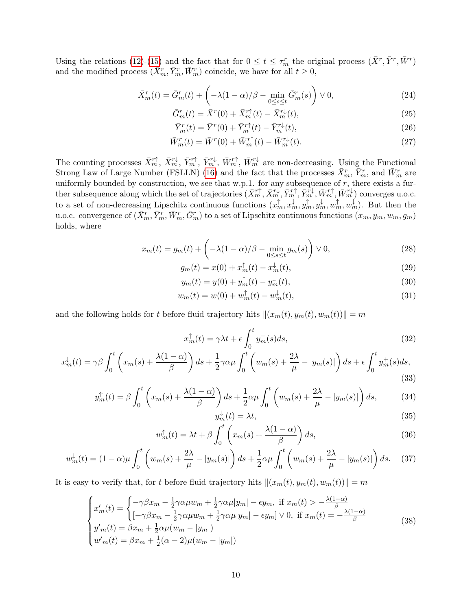Using the relations [\(12\)](#page-8-3)-[\(15\)](#page-8-4) and the fact that for  $0 \le t \le \tau_m^r$  the original process  $(\bar{X}^r, \bar{Y}^r, \bar{W}^r)$ and the modified process  $(\bar{X}_m^r, \bar{Y}_m^r, \bar{W}_m^r)$  coincide, we have for all  $t \geq 0$ ,

$$
\bar{X}_m^r(t) = \bar{G}_m^r(t) + \left( -\lambda (1 - \alpha) / \beta - \min_{0 \le s \le t} \bar{G}_m^r(s) \right) \vee 0,\tag{24}
$$

$$
\bar{G}_m^r(t) = \bar{X}^r(0) + \bar{X}_m^{r\uparrow}(t) - \bar{X}_m^{r\downarrow}(t),\tag{25}
$$

$$
\bar{Y}_m^r(t) = \bar{Y}^r(0) + \bar{Y}_m^{r\dagger}(t) - \bar{Y}_m^{r\downarrow}(t),\tag{26}
$$

$$
\overline{W}_m^r(t) = \overline{W}^r(0) + \overline{W}_m^{r\dagger}(t) - \overline{W}_m^{r\downarrow}(t). \tag{27}
$$

The counting processes  $\bar{X}_m^{r\uparrow}$ ,  $\bar{X}_m^{r\downarrow}$ ,  $\bar{Y}_m^{r\uparrow}$ ,  $\bar{Y}_m^{r\downarrow}$ ,  $\bar{W}_m^{r\uparrow}$ ,  $\bar{W}_m^{r\downarrow}$  are non-decreasing. Using the Functional Strong Law of Large Number (FSLLN) [\(16\)](#page-9-0) and the fact that the processes  $\bar{X}_m^r$ ,  $\bar{Y}_m^r$ , and  $\bar{W}_m^r$  are uniformly bounded by construction, we see that w.p.1. for any subsequence of  $r$ , there exists a further subsequence along which the set of trajectories  $(\bar{X}_m^{r\uparrow}, \bar{X}_m^{r\downarrow}, \bar{Y}_m^{r\uparrow}, \bar{Y}_m^{r\downarrow}, \bar{W}_m^{r\uparrow}, \bar{W}_m^{r\downarrow})$  converges u.o.c. to a set of non-decreasing Lipschitz continuous functions  $(x_m^{\uparrow}, x_m^{\downarrow}, y_m^{\uparrow}, y_m^{\downarrow}, w_m^{\uparrow}, w_m^{\downarrow})$ . But then the u.o.c. convergence of  $(\bar{X}_m^r, \bar{Y}_m^r, \bar{W}_m^r, \bar{G}_m^r)$  to a set of Lipschitz continuous functions  $(x_m, y_m, w_m, g_m)$ holds, where

$$
x_m(t) = g_m(t) + \left(-\lambda(1-\alpha)/\beta - \min_{0 \le s \le t} g_m(s)\right) \vee 0,\tag{28}
$$

$$
g_m(t) = x(0) + x_m^{\uparrow}(t) - x_m^{\downarrow}(t),
$$
\n(29)

$$
y_m(t) = y(0) + y_m^{\dagger}(t) - y_m^{\dagger}(t),
$$
\n(30)

$$
w_m(t) = w(0) + w_m^{\uparrow}(t) - w_m^{\downarrow}(t),
$$
\n(31)

and the following holds for t before fluid trajectory hits  $\|(x_m(t), y_m(t), w_m(t))\| = m$ 

$$
x_m^{\uparrow}(t) = \gamma \lambda t + \epsilon \int_0^t y_m^-(s) ds,
$$
\n(32)

$$
x_m^{\downarrow}(t) = \gamma \beta \int_0^t \left( x_m(s) + \frac{\lambda(1-\alpha)}{\beta} \right) ds + \frac{1}{2} \gamma \alpha \mu \int_0^t \left( w_m(s) + \frac{2\lambda}{\mu} - |y_m(s)| \right) ds + \epsilon \int_0^t y_m^+(s) ds,
$$
\n(33)

$$
y_m^{\uparrow}(t) = \beta \int_0^t \left( x_m(s) + \frac{\lambda(1-\alpha)}{\beta} \right) ds + \frac{1}{2} \alpha \mu \int_0^t \left( w_m(s) + \frac{2\lambda}{\mu} - |y_m(s)| \right) ds, \tag{34}
$$

$$
y_m^{\downarrow}(t) = \lambda t,\tag{35}
$$

$$
w_m^{\uparrow}(t) = \lambda t + \beta \int_0^t \left( x_m(s) + \frac{\lambda(1-\alpha)}{\beta} \right) ds,
$$
\n(36)

$$
w_m^{\downarrow}(t) = (1 - \alpha)\mu \int_0^t \left( w_m(s) + \frac{2\lambda}{\mu} - |y_m(s)| \right) ds + \frac{1}{2} \alpha \mu \int_0^t \left( w_m(s) + \frac{2\lambda}{\mu} - |y_m(s)| \right) ds. \tag{37}
$$

It is easy to verify that, for t before fluid trajectory hits  $\|(x_m(t), y_m(t), w_m(t))\| = m$ 

$$
\begin{cases}\nx'_m(t) = \begin{cases}\n-\gamma \beta x_m - \frac{1}{2} \gamma \alpha \mu w_m + \frac{1}{2} \gamma \alpha \mu |y_m| - \epsilon y_m, & \text{if } x_m(t) > -\frac{\lambda(1-\alpha)}{\beta} \\
[-\gamma \beta x_m - \frac{1}{2} \gamma \alpha \mu w_m + \frac{1}{2} \gamma \alpha \mu |y_m| - \epsilon y_m] \vee 0, & \text{if } x_m(t) = -\frac{\lambda(1-\alpha)}{\beta}\n\end{cases} \\
y'_m(t) = \beta x_m + \frac{1}{2} \alpha \mu (w_m - |y_m|) \\
w'_m(t) = \beta x_m + \frac{1}{2} (\alpha - 2) \mu (w_m - |y_m|)\n\end{cases}
$$
\n(38)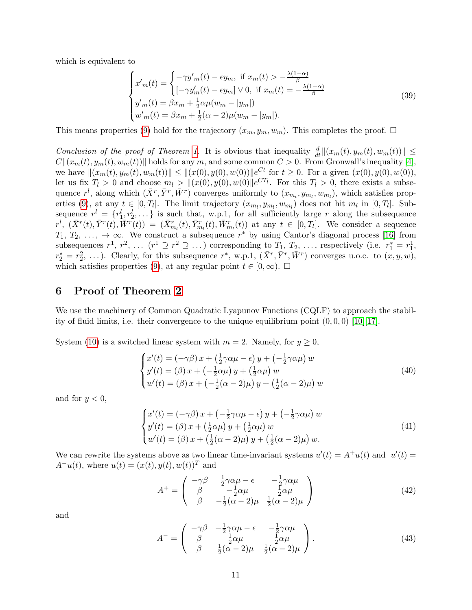which is equivalent to

$$
\begin{cases}\nx'_m(t) = \begin{cases}\n-\gamma y'_m(t) - \epsilon y_m, & \text{if } x_m(t) > -\frac{\lambda(1-\alpha)}{\beta} \\
[-\gamma y'_m(t) - \epsilon y_m] \vee 0, & \text{if } x_m(t) = -\frac{\lambda(1-\alpha)}{\beta}\n\end{cases} \\
y'_m(t) = \beta x_m + \frac{1}{2} \alpha \mu (w_m - |y_m|) \\
w'_m(t) = \beta x_m + \frac{1}{2} (\alpha - 2) \mu (w_m - |y_m|).\n\end{cases} \tag{39}
$$

This means properties [\(9\)](#page-7-4) hold for the trajectory  $(x_m, y_m, w_m)$ . This completes the proof.  $\Box$ 

Conclusion of the proof of Theorem [1](#page-7-0). It is obvious that inequality  $\frac{d}{dt}||(x_m(t), y_m(t), w_m(t))|| \le$  $C\|(x_m(t), y_m(t), w_m(t))\|$  holds for any m, and some common  $C > 0$ . From Gronwall's inequality [\[4\]](#page-17-12), we have  $\|(x_m(t), y_m(t), w_m(t))\| \leq \|(x(0), y(0), w(0))\|e^{Ct}$  for  $t \geq 0$ . For a given  $(x(0), y(0), w(0)),$ let us fix  $T_l > 0$  and choose  $m_l > ||(x(0), y(0), w(0)||e^{CT_l}$ . For this  $T_l > 0$ , there exists a subsequence  $r^l$ , along which  $(\bar{X}^r, \bar{Y}^r, \bar{W}^r)$  converges uniformly to  $(x_{m_l}, y_{m_l}, w_{m_l})$ , which satisfies prop-erties [\(9\)](#page-7-4), at any  $t \in [0, T_l]$ . The limit trajectory  $(x_{m_l}, y_{m_l}, w_{m_l})$  does not hit  $m_l$  in  $[0, T_l]$ . Subsequence  $r^l = \{r_1^l, r_2^l, \dots\}$  is such that, w.p.1, for all sufficiently large r along the subsequence  $r^l$ ,  $(\bar{X}^r(t), \bar{Y}^r(t), \bar{W}^r(t)) = (\bar{X}^r_{m_l}(t), \bar{Y}^r_{m_l}(t), \bar{W}^r_{m_l}(t))$  at any  $t \in [0, T_l]$ . We consider a sequence  $T_1, T_2, \ldots, \rightarrow \infty$ . We construct a subsequence  $r^*$  by using Cantor's diagonal process [\[16\]](#page-18-4) from subsequences  $r^1, r^2, \ldots (r^1 \supseteq r^2 \supseteq \ldots)$  corresponding to  $T_1, T_2, \ldots$ , respectively (i.e.  $r_1^* = r_1^1$ ,  $r_2^* = r_2^2, \ldots$ ). Clearly, for this subsequence  $r^*$ , w.p.1,  $(\bar{X}^r, \bar{Y}^r, \bar{W}^r)$  converges u.o.c. to  $(x, y, w)$ , which satisfies properties [\(9\)](#page-7-4), at any regular point  $t \in [0, \infty)$ .  $\Box$ 

## <span id="page-11-0"></span>6 Proof of Theorem [2](#page-8-0)

We use the machinery of Common Quadratic Lyapunov Functions (CQLF) to approach the stability of fluid limits, i.e. their convergence to the unique equilibrium point  $(0, 0, 0)$  [\[10\]](#page-17-9)[\[17\]](#page-18-1).

System [\(10\)](#page-7-2) is a switched linear system with  $m = 2$ . Namely, for  $y \ge 0$ ,

$$
\begin{cases}\nx'(t) = (-\gamma \beta) x + \left(\frac{1}{2}\gamma \alpha \mu - \epsilon\right) y + \left(-\frac{1}{2}\gamma \alpha \mu\right) w \\
y'(t) = (\beta) x + \left(-\frac{1}{2}\alpha \mu\right) y + \left(\frac{1}{2}\alpha \mu\right) w \\
w'(t) = (\beta) x + \left(-\frac{1}{2}(\alpha - 2)\mu\right) y + \left(\frac{1}{2}(\alpha - 2)\mu\right) w\n\end{cases}
$$
\n(40)

and for  $y < 0$ ,

$$
\begin{cases}\nx'(t) = (-\gamma \beta) x + (-\frac{1}{2}\gamma \alpha \mu - \epsilon) y + (-\frac{1}{2}\gamma \alpha \mu) w \\
y'(t) = (\beta) x + (\frac{1}{2}\alpha \mu) y + (\frac{1}{2}\alpha \mu) w \\
w'(t) = (\beta) x + (\frac{1}{2}(\alpha - 2)\mu) y + (\frac{1}{2}(\alpha - 2)\mu) w.\n\end{cases} \tag{41}
$$

We can rewrite the systems above as two linear time-invariant systems  $u'(t) = A^+u(t)$  and  $u'(t) =$  $A^{-}u(t)$ , where  $u(t) = (x(t), y(t), w(t))^{T}$  and

<span id="page-11-1"></span>
$$
A^{+} = \begin{pmatrix} -\gamma \beta & \frac{1}{2}\gamma \alpha \mu - \epsilon & -\frac{1}{2}\gamma \alpha \mu \\ \beta & -\frac{1}{2}\alpha \mu & \frac{1}{2}\alpha \mu \\ \beta & -\frac{1}{2}(\alpha - 2)\mu & \frac{1}{2}(\alpha - 2)\mu \end{pmatrix}
$$
(42)

<span id="page-11-3"></span>and

<span id="page-11-2"></span>
$$
A^{-} = \begin{pmatrix} -\gamma \beta & -\frac{1}{2}\gamma \alpha \mu - \epsilon & -\frac{1}{2}\gamma \alpha \mu \\ \beta & \frac{1}{2}\alpha \mu & \frac{1}{2}\alpha \mu \\ \beta & \frac{1}{2}(\alpha - 2)\mu & \frac{1}{2}(\alpha - 2)\mu \end{pmatrix}.
$$
 (43)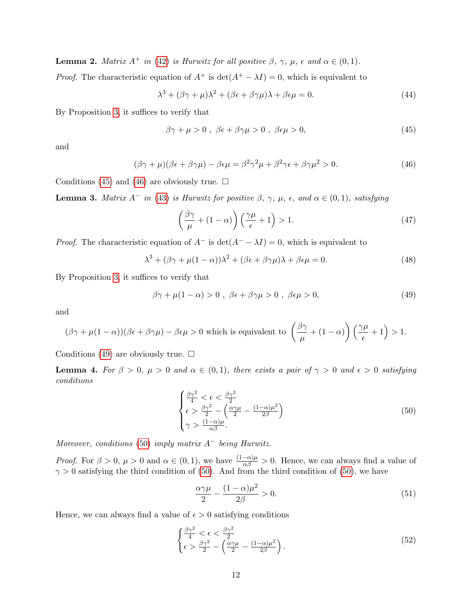**Lemma 2.** Matrix  $A^+$  in [\(42\)](#page-11-1) is Hurwitz for all positive  $\beta$ ,  $\gamma$ ,  $\mu$ ,  $\epsilon$  and  $\alpha \in (0,1)$ .

*Proof.* The characteristic equation of  $A^+$  is  $\det(A^+ - \lambda I) = 0$ , which is equivalent to

$$
\lambda^3 + (\beta \gamma + \mu)\lambda^2 + (\beta \epsilon + \beta \gamma \mu)\lambda + \beta \epsilon \mu = 0.
$$
 (44)

By Proposition [3,](#page-4-2) it suffices to verify that

<span id="page-12-0"></span>
$$
\beta \gamma + \mu > 0 \; , \; \beta \epsilon + \beta \gamma \mu > 0 \; , \; \beta \epsilon \mu > 0, \tag{45}
$$

and

$$
(\beta \gamma + \mu)(\beta \epsilon + \beta \gamma \mu) - \beta \epsilon \mu = \beta^2 \gamma^2 \mu + \beta^2 \gamma \epsilon + \beta \gamma \mu^2 > 0.
$$
 (46)

Conditions [\(45\)](#page-12-0) and [\(46\)](#page-12-1) are obviously true.  $\Box$ 

<span id="page-12-4"></span>**Lemma 3.** Matrix  $A^-$  in [\(43\)](#page-11-2) is Hurwitz for positive  $\beta$ ,  $\gamma$ ,  $\mu$ ,  $\epsilon$ , and  $\alpha \in (0,1)$ , satisfying

<span id="page-12-5"></span><span id="page-12-2"></span><span id="page-12-1"></span>
$$
\left(\frac{\beta\gamma}{\mu} + (1 - \alpha)\right)\left(\frac{\gamma\mu}{\epsilon} + 1\right) > 1. \tag{47}
$$

*Proof.* The characteristic equation of  $A^-$  is  $\det(A^- - \lambda I) = 0$ , which is equivalent to

$$
\lambda^3 + (\beta \gamma + \mu (1 - \alpha))\lambda^2 + (\beta \epsilon + \beta \gamma \mu)\lambda + \beta \epsilon \mu = 0.
$$
 (48)

By Proposition [3,](#page-4-2) it suffices to verify that

$$
\beta \gamma + \mu (1 - \alpha) > 0 , \ \beta \epsilon + \beta \gamma \mu > 0 , \ \beta \epsilon \mu > 0, \tag{49}
$$

and

$$
(\beta\gamma+\mu(1-\alpha))(\beta\epsilon+\beta\gamma\mu)-\beta\epsilon\mu>0
$$
 which is equivalent to 
$$
\left(\frac{\beta\gamma}{\mu}+(1-\alpha)\right)\left(\frac{\gamma\mu}{\epsilon}+1\right)>1.
$$

Conditions [\(49\)](#page-12-2) are obviously true.  $\Box$ 

<span id="page-12-6"></span>**Lemma 4.** For  $\beta > 0$ ,  $\mu > 0$  and  $\alpha \in (0,1)$ , there exists a pair of  $\gamma > 0$  and  $\epsilon > 0$  satisfying conditions

<span id="page-12-3"></span>
$$
\begin{cases} \frac{\beta\gamma^2}{4} < \epsilon < \frac{\beta\gamma^2}{2} \\ \epsilon > \frac{\beta\gamma^2}{2} - \left(\frac{\alpha\gamma\mu}{2} - \frac{(1-\alpha)\mu^2}{2\beta}\right) \\ \gamma > \frac{(1-\alpha)\mu}{\alpha\beta} .\end{cases} \tag{50}
$$

Moreover, conditions [\(50\)](#page-12-3) imply matrix  $A^-$  being Hurwitz.

*Proof.* For  $\beta > 0$ ,  $\mu > 0$  and  $\alpha \in (0,1)$ , we have  $\frac{(1-\alpha)\mu}{\alpha\beta} > 0$ . Hence, we can always find a value of  $\gamma > 0$  satisfying the third condition of [\(50\)](#page-12-3). And from the third condition of (50), we have

$$
\frac{\alpha \gamma \mu}{2} - \frac{(1 - \alpha)\mu^2}{2\beta} > 0.
$$
\n(51)

Hence, we can always find a value of  $\epsilon > 0$  satisfying conditions

$$
\begin{cases} \frac{\beta\gamma^2}{4} < \epsilon < \frac{\beta\gamma^2}{2} \\ \epsilon > \frac{\beta\gamma^2}{2} - \left(\frac{\alpha\gamma\mu}{2} - \frac{(1-\alpha)\mu^2}{2\beta}\right). \end{cases} \tag{52}
$$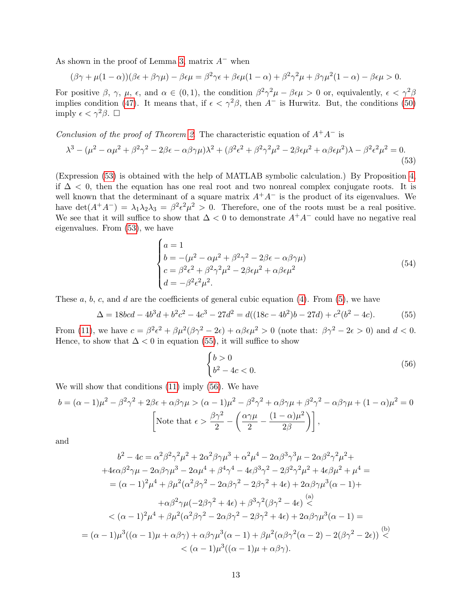As shown in the proof of Lemma [3,](#page-12-4) matrix  $A^-$  when

$$
(\beta\gamma+\mu(1-\alpha))(\beta\epsilon+\beta\gamma\mu)-\beta\epsilon\mu=\beta^2\gamma\epsilon+\beta\epsilon\mu(1-\alpha)+\beta^2\gamma^2\mu+\beta\gamma\mu^2(1-\alpha)-\beta\epsilon\mu>0.
$$

For positive  $\beta$ ,  $\gamma$ ,  $\mu$ ,  $\epsilon$ , and  $\alpha \in (0,1)$ , the condition  $\beta^2 \gamma^2 \mu - \beta \epsilon \mu > 0$  or, equivalently,  $\epsilon < \gamma^2 \beta$ implies condition [\(47\)](#page-12-5). It means that, if  $\epsilon < \gamma^2 \beta$ , then A<sup>-</sup> is Hurwitz. But, the conditions [\(50\)](#page-12-3) imply  $\epsilon < \gamma^2 \beta$ .  $\Box$ 

Conclusion of the proof of Theorem [2](#page-8-0). The characteristic equation of  $A^+A^-$  is

$$
\lambda^3 - (\mu^2 - \alpha \mu^2 + \beta^2 \gamma^2 - 2\beta \epsilon - \alpha \beta \gamma \mu) \lambda^2 + (\beta^2 \epsilon^2 + \beta^2 \gamma^2 \mu^2 - 2\beta \epsilon \mu^2 + \alpha \beta \epsilon \mu^2) \lambda - \beta^2 \epsilon^2 \mu^2 = 0.
$$
\n(53)

(Expression [\(53\)](#page-13-0) is obtained with the help of MATLAB symbolic calculation.) By Proposition [4,](#page-4-3) if  $\Delta$  < 0, then the equation has one real root and two nonreal complex conjugate roots. It is well known that the determinant of a square matrix  $A^+A^-$  is the product of its eigenvalues. We have  $\det(A^+A^-) = \lambda_1\lambda_2\lambda_3 = \beta^2\epsilon^2\mu^2 > 0$ . Therefore, one of the roots must be a real positive. We see that it will suffice to show that  $\Delta < 0$  to demonstrate  $A^+A^-$  could have no negative real eigenvalues. From [\(53\)](#page-13-0), we have

<span id="page-13-0"></span>
$$
\begin{cases}\na = 1 \\
b = -(\mu^2 - \alpha \mu^2 + \beta^2 \gamma^2 - 2\beta \epsilon - \alpha \beta \gamma \mu) \\
c = \beta^2 \epsilon^2 + \beta^2 \gamma^2 \mu^2 - 2\beta \epsilon \mu^2 + \alpha \beta \epsilon \mu^2 \\
d = -\beta^2 \epsilon^2 \mu^2.\n\end{cases} (54)
$$

These  $a, b, c$ , and  $d$  are the coefficients of general cubic equation [\(4\)](#page-5-1). From [\(5\)](#page-5-2), we have

$$
\Delta = 18bcd - 4b^3d + b^2c^2 - 4c^3 - 27d^2 = d((18c - 4b^2)b - 27d) + c^2(b^2 - 4c). \tag{55}
$$

From [\(11\)](#page-8-2), we have  $c = \beta^2 \epsilon^2 + \beta \mu^2 (\beta \gamma^2 - 2\epsilon) + \alpha \beta \epsilon \mu^2 > 0$  (note that:  $\beta \gamma^2 - 2\epsilon > 0$ ) and  $d < 0$ . Hence, to show that  $\Delta < 0$  in equation [\(55\)](#page-13-1), it will suffice to show

<span id="page-13-2"></span><span id="page-13-1"></span>
$$
\begin{cases} b > 0\\ b^2 - 4c < 0. \end{cases} \tag{56}
$$

We will show that conditions [\(11\)](#page-8-2) imply [\(56\)](#page-13-2). We have

$$
b = (\alpha - 1)\mu^2 - \beta^2 \gamma^2 + 2\beta \epsilon + \alpha \beta \gamma \mu > (\alpha - 1)\mu^2 - \beta^2 \gamma^2 + \alpha \beta \gamma \mu + \beta^2 \gamma^2 - \alpha \beta \gamma \mu + (1 - \alpha)\mu^2 = 0
$$
  
\n
$$
\left[ \text{Note that } \epsilon > \frac{\beta \gamma^2}{2} - \left( \frac{\alpha \gamma \mu}{2} - \frac{(1 - \alpha)\mu^2}{2\beta} \right) \right],
$$

and

$$
b^2 - 4c = \alpha^2 \beta^2 \gamma^2 \mu^2 + 2\alpha^2 \beta \gamma \mu^3 + \alpha^2 \mu^4 - 2\alpha \beta^3 \gamma^3 \mu - 2\alpha \beta^2 \gamma^2 \mu^2 +
$$
  
+4\epsilon \alpha \beta^2 \gamma \mu - 2\alpha \beta \gamma \mu^3 - 2\alpha \mu^4 + \beta^4 \gamma^4 - 4\epsilon \beta^3 \gamma^2 - 2\beta^2 \gamma^2 \mu^2 + 4\epsilon \beta \mu^2 + \mu^4 =  
= (\alpha - 1)^2 \mu^4 + \beta \mu^2 (\alpha^2 \beta \gamma^2 - 2\alpha \beta \gamma^2 - 2\beta \gamma^2 + 4\epsilon) + 2\alpha \beta \gamma \mu^3 (\alpha - 1) +  
+  $\alpha \beta^2 \gamma \mu (-2\beta \gamma^2 + 4\epsilon) + \beta^3 \gamma^2 (\beta \gamma^2 - 4\epsilon) \stackrel{(a)}{ $(\alpha - 1)^2 \mu^4 + \beta \mu^2 (\alpha^2 \beta \gamma^2 - 2\alpha \beta \gamma^2 - 2\beta \gamma^2 + 4\epsilon) + 2\alpha \beta \gamma \mu^3 (\alpha - 1) =$   
= (\alpha - 1)\mu^3 ((\alpha - 1)\mu + \alpha \beta \gamma) + \alpha \beta \gamma \mu^3 (\alpha - 1) + \beta \mu^2 (\alpha \beta \gamma^2 (\alpha - 2) - 2(\beta \gamma^2 - 2\epsilon)) \stackrel{(b)}{  
 $(\alpha - 1)\mu^3 ((\alpha - 1)\mu + \alpha \beta \gamma).$$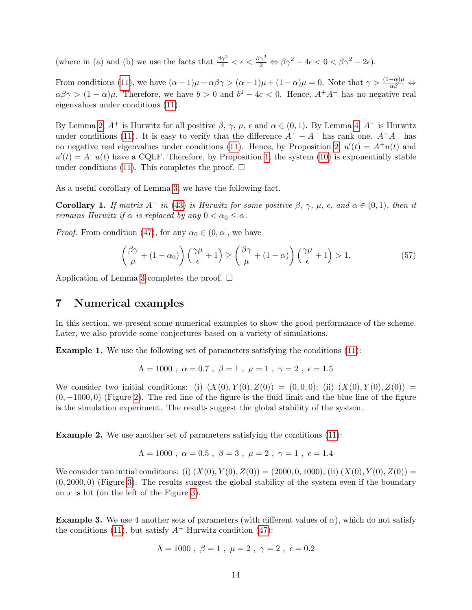(where in (a) and (b) we use the facts that  $\frac{\beta \gamma^2}{4} < \epsilon < \frac{\beta \gamma^2}{2} \Leftrightarrow \beta \gamma^2 - 4\epsilon < 0 < \beta \gamma^2 - 2\epsilon$ ).

From conditions [\(11\)](#page-8-2), we have  $(\alpha - 1)\mu + \alpha\beta\gamma > (\alpha - 1)\mu + (1 - \alpha)\mu = 0$ . Note that  $\gamma > \frac{(1 - \alpha)\mu}{\alpha\beta} \Leftrightarrow$  $\alpha\beta\gamma > (1-\alpha)\mu$ . Therefore, we have  $b > 0$  and  $b^2 - 4c < 0$ . Hence,  $A^+A^-$  has no negative real eigenvalues under conditions [\(11\)](#page-8-2).

By Lemma [2,](#page-11-3)  $A^+$  is Hurwitz for all positive  $\beta$ ,  $\gamma$ ,  $\mu$ ,  $\epsilon$  and  $\alpha \in (0,1)$ . By Lemma [4,](#page-12-6)  $A^-$  is Hurwitz under conditions [\(11\)](#page-8-2). It is easy to verify that the difference  $A^+ - A^-$  has rank one.  $A^+A^-$  has no negative real eigenvalues under conditions [\(11\)](#page-8-2). Hence, by Proposition [2,](#page-4-4)  $u'(t) = A^+u(t)$  and  $u'(t) = A^{-}u(t)$  have a CQLF. Therefore, by Proposition [1,](#page-4-5) the system [\(10\)](#page-7-2) is exponentially stable under conditions [\(11\)](#page-8-2). This completes the proof.  $\square$ 

As a useful corollary of Lemma [3,](#page-12-4) we have the following fact.

**Corollary 1.** If matrix  $A^-$  in [\(43\)](#page-11-2) is Hurwitz for some positive  $\beta$ ,  $\gamma$ ,  $\mu$ ,  $\epsilon$ , and  $\alpha \in (0,1)$ , then it remains Hurwitz if  $\alpha$  is replaced by any  $0 < \alpha_0 \leq \alpha$ .

*Proof.* From condition [\(47\)](#page-12-5), for any  $\alpha_0 \in (0, \alpha]$ , we have

$$
\left(\frac{\beta\gamma}{\mu} + (1 - \alpha_0)\right) \left(\frac{\gamma\mu}{\epsilon} + 1\right) \ge \left(\frac{\beta\gamma}{\mu} + (1 - \alpha)\right) \left(\frac{\gamma\mu}{\epsilon} + 1\right) > 1.
$$
\n(57)

Application of Lemma [3](#page-12-4) completes the proof.  $\Box$ 

## <span id="page-14-0"></span>7 Numerical examples

In this section, we present some numerical examples to show the good performance of the scheme. Later, we also provide some conjectures based on a variety of simulations.

<span id="page-14-1"></span>Example 1. We use the following set of parameters satisfying the conditions [\(11\)](#page-8-2):

$$
\Lambda = 1000
$$
,  $\alpha = 0.7$ ,  $\beta = 1$ ,  $\mu = 1$ ,  $\gamma = 2$ ,  $\epsilon = 1.5$ 

We consider two initial conditions: (i)  $(X(0), Y(0), Z(0)) = (0, 0, 0);$  (ii)  $(X(0), Y(0), Z(0)) =$  $(0, -1000, 0)$  (Figure [2\)](#page-15-0). The red line of the figure is the fluid limit and the blue line of the figure is the simulation experiment. The results suggest the global stability of the system.

<span id="page-14-2"></span>Example 2. We use another set of parameters satisfying the conditions [\(11\)](#page-8-2):

$$
\Lambda = 1000
$$
,  $\alpha = 0.5$ ,  $\beta = 3$ ,  $\mu = 2$ ,  $\gamma = 1$ ,  $\epsilon = 1.4$ 

We consider two initial conditions: (i)  $(X(0), Y(0), Z(0)) = (2000, 0, 1000)$ ; (ii)  $(X(0), Y(0), Z(0)) =$  $(0, 2000, 0)$  (Figure [3\)](#page-15-1). The results suggest the global stability of the system even if the boundary on  $x$  is hit (on the left of the Figure [3\)](#page-15-1).

<span id="page-14-3"></span>**Example 3.** We use 4 another sets of parameters (with different values of  $\alpha$ ), which do not satisfy the conditions [\(11\)](#page-8-2), but satisfy  $A^-$  Hurwitz condition [\(47\)](#page-12-5):

$$
\Lambda = 1000 \; , \; \beta = 1 \; , \; \mu = 2 \; , \; \gamma = 2 \; , \; \epsilon = 0.2
$$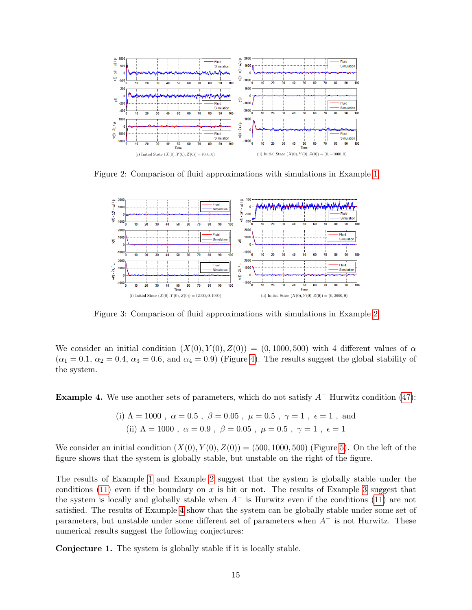

<span id="page-15-0"></span>Figure 2: Comparison of fluid approximations with simulations in Example [1](#page-14-1)



<span id="page-15-1"></span>Figure 3: Comparison of fluid approximations with simulations in Example [2](#page-14-2)

We consider an initial condition  $(X(0), Y(0), Z(0)) = (0, 1000, 500)$  with 4 different values of  $\alpha$  $(\alpha_1 = 0.1, \alpha_2 = 0.4, \alpha_3 = 0.6, \text{ and } \alpha_4 = 0.9)$  (Figure [4\)](#page-16-1). The results suggest the global stability of the system.

<span id="page-15-2"></span>**Example 4.** We use another sets of parameters, which do not satisfy  $A^-$  Hurwitz condition [\(47\)](#page-12-5):

(i) 
$$
\Lambda = 1000
$$
,  $\alpha = 0.5$ ,  $\beta = 0.05$ ,  $\mu = 0.5$ ,  $\gamma = 1$ ,  $\epsilon = 1$ , and  
(ii)  $\Lambda = 1000$ ,  $\alpha = 0.9$ ,  $\beta = 0.05$ ,  $\mu = 0.5$ ,  $\gamma = 1$ ,  $\epsilon = 1$ 

We consider an initial condition  $(X(0), Y(0), Z(0)) = (500, 1000, 500)$  (Figure [5\)](#page-16-2). On the left of the figure shows that the system is globally stable, but unstable on the right of the figure.

The results of Example [1](#page-14-1) and Example [2](#page-14-2) suggest that the system is globally stable under the conditions [\(11\)](#page-8-2) even if the boundary on x is hit or not. The results of Example [3](#page-14-3) suggest that the system is locally and globally stable when  $A^-$  is Hurwitz even if the conditions [\(11\)](#page-8-2) are not satisfied. The results of Example [4](#page-15-2) show that the system can be globally stable under some set of parameters, but unstable under some different set of parameters when  $A^-$  is not Hurwitz. These numerical results suggest the following conjectures:

Conjecture 1. The system is globally stable if it is locally stable.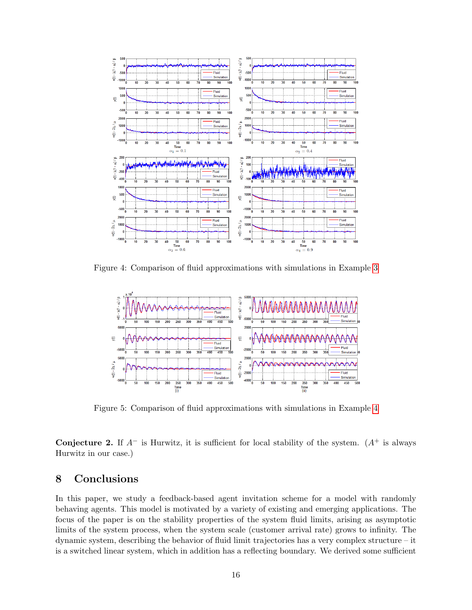

<span id="page-16-1"></span>Figure 4: Comparison of fluid approximations with simulations in Example [3](#page-14-3)



<span id="page-16-2"></span>Figure 5: Comparison of fluid approximations with simulations in Example [4](#page-15-2)

Conjecture 2. If  $A^-$  is Hurwitz, it is sufficient for local stability of the system.  $(A^+$  is always Hurwitz in our case.)

## <span id="page-16-0"></span>8 Conclusions

In this paper, we study a feedback-based agent invitation scheme for a model with randomly behaving agents. This model is motivated by a variety of existing and emerging applications. The focus of the paper is on the stability properties of the system fluid limits, arising as asymptotic limits of the system process, when the system scale (customer arrival rate) grows to infinity. The dynamic system, describing the behavior of fluid limit trajectories has a very complex structure – it is a switched linear system, which in addition has a reflecting boundary. We derived some sufficient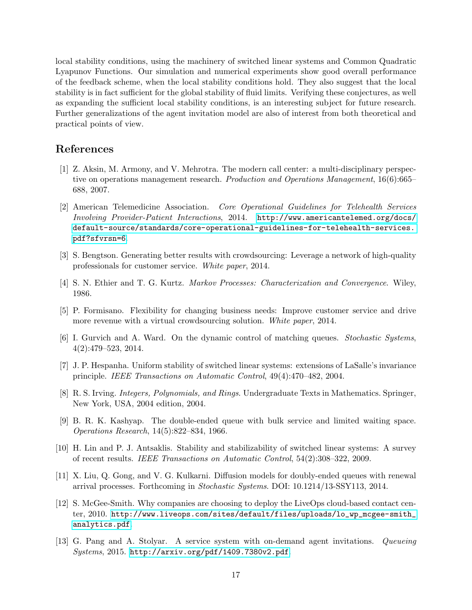local stability conditions, using the machinery of switched linear systems and Common Quadratic Lyapunov Functions. Our simulation and numerical experiments show good overall performance of the feedback scheme, when the local stability conditions hold. They also suggest that the local stability is in fact sufficient for the global stability of fluid limits. Verifying these conjectures, as well as expanding the sufficient local stability conditions, is an interesting subject for future research. Further generalizations of the agent invitation model are also of interest from both theoretical and practical points of view.

## References

- <span id="page-17-1"></span>[1] Z. Aksin, M. Armony, and V. Mehrotra. The modern call center: a multi-disciplinary perspective on operations management research. Production and Operations Management, 16(6):665– 688, 2007.
- <span id="page-17-3"></span>[2] American Telemedicine Association. Core Operational Guidelines for Telehealth Services Involving Provider-Patient Interactions, 2014. [http://www.americantelemed.org/docs/](http://www.americantelemed.org/docs/default-source/standards/core-operational-guidelines-for-telehealth-services.pdf?sfvrsn=6) [default-source/standards/core-operational-guidelines-for-telehealth-services.](http://www.americantelemed.org/docs/default-source/standards/core-operational-guidelines-for-telehealth-services.pdf?sfvrsn=6) [pdf?sfvrsn=6](http://www.americantelemed.org/docs/default-source/standards/core-operational-guidelines-for-telehealth-services.pdf?sfvrsn=6).
- <span id="page-17-5"></span>[3] S. Bengtson. Generating better results with crowdsourcing: Leverage a network of high-quality professionals for customer service. White paper, 2014.
- <span id="page-17-12"></span>[4] S. N. Ethier and T. G. Kurtz. Markov Processes: Characterization and Convergence. Wiley, 1986.
- <span id="page-17-4"></span>[5] P. Formisano. Flexibility for changing business needs: Improve customer service and drive more revenue with a virtual crowdsourcing solution. White paper, 2014.
- <span id="page-17-8"></span>[6] I. Gurvich and A. Ward. On the dynamic control of matching queues. Stochastic Systems, 4(2):479–523, 2014.
- <span id="page-17-10"></span>[7] J. P. Hespanha. Uniform stability of switched linear systems: extensions of LaSalle's invariance principle. IEEE Transactions on Automatic Control, 49(4):470–482, 2004.
- <span id="page-17-11"></span>[8] R. S. Irving. Integers, Polynomials, and Rings. Undergraduate Texts in Mathematics. Springer, New York, USA, 2004 edition, 2004.
- <span id="page-17-6"></span>[9] B. R. K. Kashyap. The double-ended queue with bulk service and limited waiting space. Operations Research, 14(5):822–834, 1966.
- <span id="page-17-9"></span>[10] H. Lin and P. J. Antsaklis. Stability and stabilizability of switched linear systems: A survey of recent results. IEEE Transactions on Automatic Control, 54(2):308–322, 2009.
- <span id="page-17-7"></span>[11] X. Liu, Q. Gong, and V. G. Kulkarni. Diffusion models for doubly-ended queues with renewal arrival processes. Forthcoming in Stochastic Systems. DOI: 10.1214/13-SSY113, 2014.
- <span id="page-17-2"></span>[12] S. McGee-Smith. Why companies are choosing to deploy the LiveOps cloud-based contact center, 2010. [http://www.liveops.com/sites/default/files/uploads/lo\\_wp\\_mcgee-smith\\_](http://www.liveops.com/sites/default/files/uploads/lo_wp_mcgee-smith_analytics.pdf) [analytics.pdf](http://www.liveops.com/sites/default/files/uploads/lo_wp_mcgee-smith_analytics.pdf).
- <span id="page-17-0"></span>[13] G. Pang and A. Stolyar. A service system with on-demand agent invitations. Queueing Systems, 2015. <http://arxiv.org/pdf/1409.7380v2.pdf>.